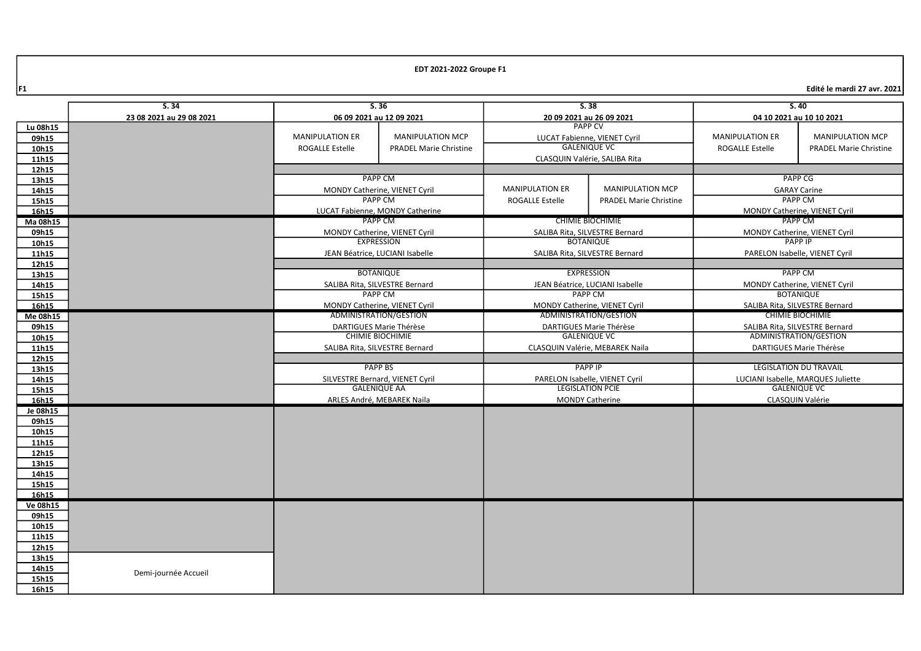$\left| \mathsf{F1} \right|$  Edité le mardi 27 avr. 2021 $\left| \mathsf{F1} \right|$ 

|                | S.34                     | S.36                   |                                                    | S.38                                                    |                                 | S.40                                                      |                                    |
|----------------|--------------------------|------------------------|----------------------------------------------------|---------------------------------------------------------|---------------------------------|-----------------------------------------------------------|------------------------------------|
|                | 23 08 2021 au 29 08 2021 |                        | 06 09 2021 au 12 09 2021                           | 20 09 2021 au 26 09 2021                                |                                 | 04 10 2021 au 10 10 2021                                  |                                    |
| Lu 08h15       |                          |                        |                                                    | <b>PAPP CV</b>                                          |                                 |                                                           |                                    |
| 09h15          |                          | <b>MANIPULATION ER</b> | <b>MANIPULATION MCP</b>                            |                                                         | LUCAT Fabienne, VIENET Cyril    | <b>MANIPULATION ER</b>                                    | <b>MANIPULATION MCP</b>            |
| 10h15          |                          | ROGALLE Estelle        | <b>PRADEL Marie Christine</b>                      |                                                         | <b>GALENIQUE VC</b>             | ROGALLE Estelle                                           | <b>PRADEL Marie Christine</b>      |
| 11h15          |                          |                        |                                                    |                                                         | CLASQUIN Valérie, SALIBA Rita   |                                                           |                                    |
| 12h15          |                          |                        |                                                    |                                                         |                                 |                                                           |                                    |
| 13h15          |                          |                        | <b>PAPP CM</b>                                     |                                                         |                                 | <b>PAPP CG</b>                                            |                                    |
| 14h15          |                          |                        | MONDY Catherine, VIENET Cyril                      | <b>MANIPULATION ER</b>                                  | <b>MANIPULATION MCP</b>         |                                                           | <b>GARAY Carine</b>                |
| 15h15          |                          |                        | <b>PAPP CM</b>                                     | <b>ROGALLE Estelle</b><br><b>PRADEL Marie Christine</b> |                                 |                                                           | <b>PAPP CM</b>                     |
| 16h15          |                          |                        | LUCAT Fabienne, MONDY Catherine                    |                                                         |                                 |                                                           | MONDY Catherine, VIENET Cyril      |
| Ma 08h15       |                          |                        | PAPP CM                                            | <b>CHIMIE BIOCHIMIE</b>                                 |                                 | PAPP CM                                                   |                                    |
| 09h15          |                          |                        | MONDY Catherine, VIENET Cyril                      |                                                         | SALIBA Rita, SILVESTRE Bernard  | MONDY Catherine, VIENET Cyril                             |                                    |
| 10h15          |                          |                        | <b>EXPRESSION</b>                                  |                                                         | <b>BOTANIOUE</b>                |                                                           | <b>PAPP IP</b>                     |
| 11h15          |                          |                        | JEAN Béatrice, LUCIANI Isabelle                    |                                                         | SALIBA Rita, SILVESTRE Bernard  |                                                           | PARELON Isabelle, VIENET Cyril     |
| 12h15          |                          |                        |                                                    |                                                         |                                 |                                                           |                                    |
| 13h15          |                          |                        | <b>BOTANIQUE</b>                                   |                                                         | <b>EXPRESSION</b>               | <b>PAPP CM</b>                                            |                                    |
| 14h15          |                          |                        | SALIBA Rita, SILVESTRE Bernard                     |                                                         | JEAN Béatrice, LUCIANI Isabelle | MONDY Catherine, VIENET Cyril                             |                                    |
| 15h15          |                          |                        | <b>PAPP CM</b>                                     |                                                         | <b>PAPP CM</b>                  | <b>BOTANIQUE</b>                                          |                                    |
| 16h15          |                          |                        | MONDY Catherine, VIENET Cyril                      | MONDY Catherine, VIENET Cyril<br>ADMINISTRATION/GESTION |                                 | SALIBA Rita, SILVESTRE Bernard<br><b>CHIMIE BIOCHIMIE</b> |                                    |
| Me 08h15       |                          |                        | ADMINISTRATION/GESTION                             |                                                         |                                 |                                                           |                                    |
| 09h15          |                          |                        | DARTIGUES Marie Thérèse<br><b>CHIMIE BIOCHIMIE</b> | DARTIGUES Marie Thérèse<br><b>GALENIQUE VC</b>          |                                 | SALIBA Rita, SILVESTRE Bernard<br>ADMINISTRATION/GESTION  |                                    |
| 10h15          |                          |                        |                                                    | CLASQUIN Valérie, MEBAREK Naila                         |                                 | DARTIGUES Marie Thérèse                                   |                                    |
| 11h15          |                          |                        | SALIBA Rita, SILVESTRE Bernard                     |                                                         |                                 |                                                           |                                    |
| 12h15<br>13h15 |                          |                        | <b>PAPP BS</b>                                     | <b>PAPP IP</b>                                          |                                 |                                                           | <b>LEGISLATION DU TRAVAIL</b>      |
| 14h15          |                          |                        | SILVESTRE Bernard, VIENET Cyril                    | PARELON Isabelle, VIENET Cyril                          |                                 |                                                           | LUCIANI Isabelle, MARQUES Juliette |
| 15h15          |                          |                        | <b>GALENIQUE AA</b>                                | <b>LEGISLATION PCIE</b>                                 |                                 |                                                           | <b>GALENIQUE VC</b>                |
| 16h15          |                          |                        | ARLES André, MEBAREK Naila                         | <b>MONDY Catherine</b>                                  |                                 |                                                           | CLASQUIN Valérie                   |
| Je 08h15       |                          |                        |                                                    |                                                         |                                 |                                                           |                                    |
| 09h15          |                          |                        |                                                    |                                                         |                                 |                                                           |                                    |
| 10h15          |                          |                        |                                                    |                                                         |                                 |                                                           |                                    |
| 11h15          |                          |                        |                                                    |                                                         |                                 |                                                           |                                    |
| 12h15          |                          |                        |                                                    |                                                         |                                 |                                                           |                                    |
| 13h15          |                          |                        |                                                    |                                                         |                                 |                                                           |                                    |
| 14h15          |                          |                        |                                                    |                                                         |                                 |                                                           |                                    |
| 15h15          |                          |                        |                                                    |                                                         |                                 |                                                           |                                    |
| 16h15          |                          |                        |                                                    |                                                         |                                 |                                                           |                                    |
| Ve 08h15       |                          |                        |                                                    |                                                         |                                 |                                                           |                                    |
| 09h15          |                          |                        |                                                    |                                                         |                                 |                                                           |                                    |
| 10h15          |                          |                        |                                                    |                                                         |                                 |                                                           |                                    |
| 11h15          |                          |                        |                                                    |                                                         |                                 |                                                           |                                    |
| 12h15          |                          |                        |                                                    |                                                         |                                 |                                                           |                                    |
| 13h15          |                          |                        |                                                    |                                                         |                                 |                                                           |                                    |
| 14h15          | Demi-journée Accueil     |                        |                                                    |                                                         |                                 |                                                           |                                    |
| 15h15          |                          |                        |                                                    |                                                         |                                 |                                                           |                                    |
| 16h15          |                          |                        |                                                    |                                                         |                                 |                                                           |                                    |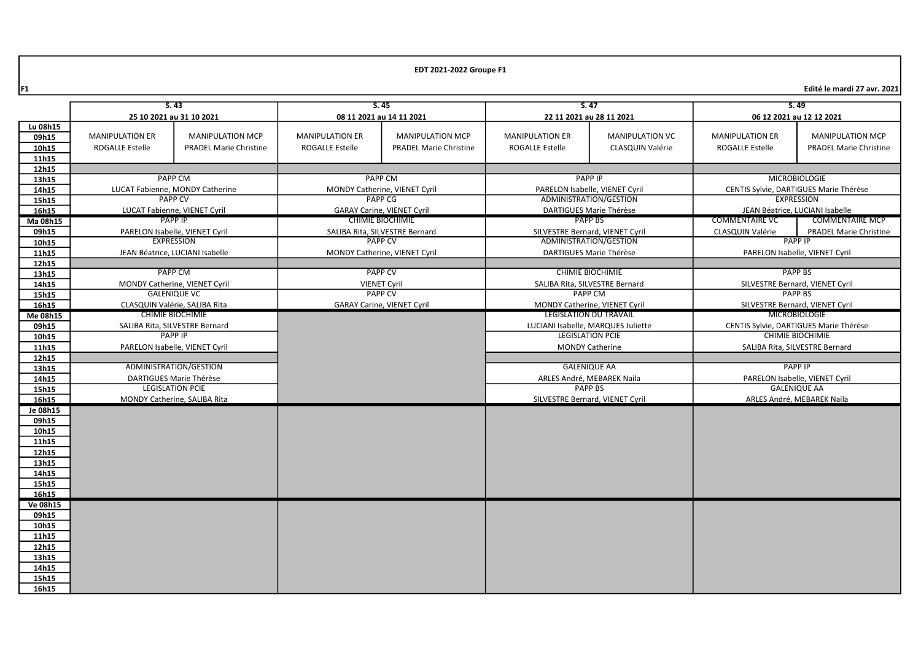F1 Edité le mardi 27 avr. 2021

|                   | 5.43                                                     |                                                      | S.45                              |                                   | S.47                                                           |                        | 5.49                                                    |                                |
|-------------------|----------------------------------------------------------|------------------------------------------------------|-----------------------------------|-----------------------------------|----------------------------------------------------------------|------------------------|---------------------------------------------------------|--------------------------------|
|                   | 25 10 2021 au 31 10 2021                                 |                                                      | 08 11 2021 au 14 11 2021          |                                   | 22 11 2021 au 28 11 2021                                       |                        | 06 12 2021 au 12 12 2021                                |                                |
| Lu 08h15          |                                                          |                                                      |                                   |                                   |                                                                |                        |                                                         |                                |
| 09h15             | <b>MANIPULATION ER</b>                                   | <b>MANIPULATION MCP</b>                              | <b>MANIPULATION ER</b>            | <b>MANIPULATION MCP</b>           | <b>MANIPULATION ER</b>                                         | <b>MANIPULATION VC</b> | <b>MANIPULATION ER</b>                                  | <b>MANIPULATION MCP</b>        |
| 10h15             | ROGALLE Estelle                                          | <b>PRADEL Marie Christine</b>                        | <b>ROGALLE Estelle</b>            | <b>PRADEL Marie Christine</b>     | <b>ROGALLE Estelle</b>                                         | CLASQUIN Valérie       | <b>ROGALLE Estelle</b>                                  | <b>PRADEL Marie Christine</b>  |
| 11h15             |                                                          |                                                      |                                   |                                   |                                                                |                        |                                                         |                                |
| 12h15             |                                                          |                                                      |                                   |                                   |                                                                |                        |                                                         |                                |
| 13h15             |                                                          | <b>PAPP CM</b>                                       |                                   | <b>PAPP CM</b>                    | <b>PAPP IP</b>                                                 |                        |                                                         | <b>MICROBIOLOGIE</b>           |
| 14h15             |                                                          | LUCAT Fabienne, MONDY Catherine                      |                                   | MONDY Catherine, VIENET Cyril     | PARELON Isabelle, VIENET Cyril                                 |                        | CENTIS Sylvie, DARTIGUES Marie Thérèse                  |                                |
| 15h15             |                                                          | <b>PAPP CV</b>                                       | <b>PAPP CG</b>                    |                                   | ADMINISTRATION/GESTION                                         |                        | <b>EXPRESSION</b>                                       |                                |
| 16h15             |                                                          | LUCAT Fabienne, VIENET Cyril                         | <b>GARAY Carine, VIENET Cyril</b> |                                   | DARTIGUES Marie Thérèse                                        |                        | JEAN Béatrice, LUCIANI Isabelle                         |                                |
| Ma 08h15          |                                                          | <b>PAPP IP</b>                                       | <b>CHIMIE BIOCHIMIE</b>           |                                   | PAPP BS                                                        |                        | <b>COMMENTAIRE VC</b>                                   | <b>COMMENTAIRE MCP</b>         |
| 09h15             |                                                          | PARELON Isabelle, VIENET Cyril                       | SALIBA Rita, SILVESTRE Bernard    |                                   | SILVESTRE Bernard, VIENET Cyril                                |                        | <b>CLASQUIN Valérie</b>                                 | <b>PRADEL Marie Christine</b>  |
| 10h15             |                                                          | <b>EXPRESSION</b>                                    |                                   | <b>PAPP CV</b>                    | ADMINISTRATION/GESTION                                         |                        |                                                         | <b>PAPP IP</b>                 |
| 11h15             |                                                          | JEAN Béatrice, LUCIANI Isabelle                      |                                   | MONDY Catherine, VIENET Cyril     | DARTIGUES Marie Thérèse                                        |                        |                                                         | PARELON Isabelle, VIENET Cyril |
| 12h15             |                                                          |                                                      |                                   |                                   |                                                                |                        |                                                         |                                |
| 13h15             |                                                          | <b>PAPP CM</b>                                       | <b>PAPP CV</b>                    |                                   | <b>CHIMIE BIOCHIMIE</b>                                        |                        | <b>PAPP BS</b>                                          |                                |
| 14h15             |                                                          | MONDY Catherine, VIENET Cyril<br><b>GALENIQUE VC</b> |                                   | <b>VIENET Cyril</b>               | SALIBA Rita, SILVESTRE Bernard                                 |                        | SILVESTRE Bernard, VIENET Cyril                         |                                |
| 15h15             |                                                          |                                                      | <b>PAPP CV</b>                    |                                   | PAPP CM                                                        |                        | <b>PAPP BS</b>                                          |                                |
| 16h15             | CLASQUIN Valérie, SALIBA Rita<br><b>CHIMIE BIOCHIMIE</b> |                                                      |                                   | <b>GARAY Carine, VIENET Cyril</b> | MONDY Catherine, VIENET Cyril<br><b>LEGISLATION DU TRAVAIL</b> |                        | SILVESTRE Bernard, VIENET Cyril<br><b>MICROBIOLOGIE</b> |                                |
| Me 08h15<br>09h15 | SALIBA Rita, SILVESTRE Bernard                           |                                                      |                                   |                                   | LUCIANI Isabelle, MARQUES Juliette                             |                        | CENTIS Sylvie, DARTIGUES Marie Thérèse                  |                                |
| 10h15             |                                                          | <b>PAPP IP</b>                                       |                                   |                                   | <b>LEGISLATION PCIE</b>                                        |                        | <b>CHIMIE BIOCHIMIE</b>                                 |                                |
| 11h15             |                                                          | PARELON Isabelle, VIENET Cyril                       |                                   |                                   | <b>MONDY Catherine</b>                                         |                        | SALIBA Rita, SILVESTRE Bernard                          |                                |
| 12h15             |                                                          |                                                      |                                   |                                   |                                                                |                        |                                                         |                                |
| 13h15             |                                                          | ADMINISTRATION/GESTION                               |                                   |                                   | <b>GALENIQUE AA</b>                                            |                        |                                                         | <b>PAPP IP</b>                 |
| 14h15             |                                                          | DARTIGUES Marie Thérèse                              |                                   |                                   | ARLES André, MEBAREK Naila                                     |                        |                                                         | PARELON Isabelle, VIENET Cyril |
| 15h15             |                                                          | <b>LEGISLATION PCIE</b>                              |                                   |                                   |                                                                | <b>PAPP BS</b>         |                                                         | <b>GALENIQUE AA</b>            |
| 16h15             |                                                          | MONDY Catherine, SALIBA Rita                         |                                   | SILVESTRE Bernard, VIENET Cyril   |                                                                |                        |                                                         | ARLES André, MEBAREK Naila     |
| Je 08h15          |                                                          |                                                      |                                   |                                   |                                                                |                        |                                                         |                                |
| 09h15             |                                                          |                                                      |                                   |                                   |                                                                |                        |                                                         |                                |
| 10h15             |                                                          |                                                      |                                   |                                   |                                                                |                        |                                                         |                                |
| 11h15             |                                                          |                                                      |                                   |                                   |                                                                |                        |                                                         |                                |
| 12h15             |                                                          |                                                      |                                   |                                   |                                                                |                        |                                                         |                                |
| 13h15             |                                                          |                                                      |                                   |                                   |                                                                |                        |                                                         |                                |
| 14h15             |                                                          |                                                      |                                   |                                   |                                                                |                        |                                                         |                                |
| 15h15             |                                                          |                                                      |                                   |                                   |                                                                |                        |                                                         |                                |
| 16h15<br>Ve 08h15 |                                                          |                                                      |                                   |                                   |                                                                |                        |                                                         |                                |
| 09h15             |                                                          |                                                      |                                   |                                   |                                                                |                        |                                                         |                                |
| 10h15             |                                                          |                                                      |                                   |                                   |                                                                |                        |                                                         |                                |
| 11h15             |                                                          |                                                      |                                   |                                   |                                                                |                        |                                                         |                                |
| 12h15             |                                                          |                                                      |                                   |                                   |                                                                |                        |                                                         |                                |
| 13h15             |                                                          |                                                      |                                   |                                   |                                                                |                        |                                                         |                                |
| 14h15             |                                                          |                                                      |                                   |                                   |                                                                |                        |                                                         |                                |
| 15h15             |                                                          |                                                      |                                   |                                   |                                                                |                        |                                                         |                                |
| 16h15             |                                                          |                                                      |                                   |                                   |                                                                |                        |                                                         |                                |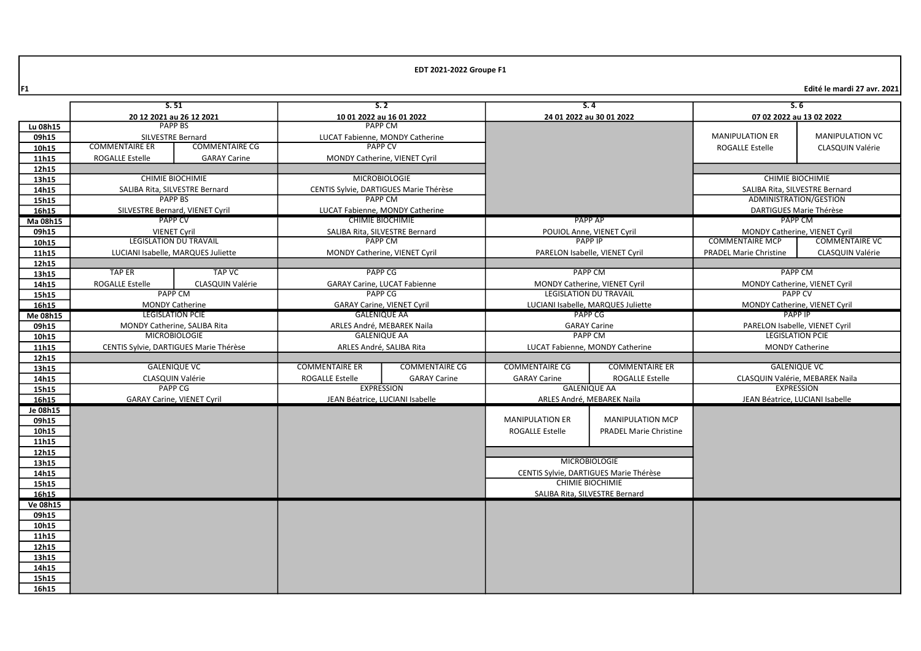F1 Edité le mardi 27 avr. 2021

|                   |                          | S.51                                   |                                         | S.2                                    |                                                                | S.4                                    | S.6                                             |                        |
|-------------------|--------------------------|----------------------------------------|-----------------------------------------|----------------------------------------|----------------------------------------------------------------|----------------------------------------|-------------------------------------------------|------------------------|
|                   | 20 12 2021 au 26 12 2021 |                                        | 10 01 2022 au 16 01 2022                |                                        | 24 01 2022 au 30 01 2022                                       |                                        | 07 02 2022 au 13 02 2022                        |                        |
| Lu 08h15          | <b>PAPP BS</b>           |                                        |                                         | <b>PAPP CM</b>                         |                                                                |                                        |                                                 |                        |
| 09h15             | SILVESTRE Bernard        |                                        |                                         | LUCAT Fabienne, MONDY Catherine        |                                                                |                                        | <b>MANIPULATION ER</b>                          | <b>MANIPULATION VC</b> |
| 10h15             | <b>COMMENTAIRE ER</b>    | <b>COMMENTAIRE CG</b>                  |                                         | <b>PAPP CV</b>                         |                                                                |                                        | <b>ROGALLE Estelle</b>                          | CLASQUIN Valérie       |
| 11h15             | <b>ROGALLE Estelle</b>   | <b>GARAY Carine</b>                    |                                         | MONDY Catherine, VIENET Cyril          |                                                                |                                        |                                                 |                        |
| 12h15             |                          |                                        |                                         |                                        |                                                                |                                        |                                                 |                        |
| 13h15             |                          | <b>CHIMIE BIOCHIMIE</b>                |                                         | <b>MICROBIOLOGIE</b>                   |                                                                |                                        | <b>CHIMIE BIOCHIMIE</b>                         |                        |
| 14h15             |                          | SALIBA Rita, SILVESTRE Bernard         |                                         | CENTIS Sylvie, DARTIGUES Marie Thérèse |                                                                |                                        | SALIBA Rita, SILVESTRE Bernard                  |                        |
| 15h15             |                          | <b>PAPP BS</b>                         | <b>PAPP CM</b>                          |                                        |                                                                |                                        | ADMINISTRATION/GESTION                          |                        |
| 16h15             |                          | SILVESTRE Bernard, VIENET Cyril        | LUCAT Fabienne, MONDY Catherine         |                                        |                                                                |                                        | DARTIGUES Marie Thérèse                         |                        |
| Ma 08h15          |                          | <b>PAPP CV</b>                         | <b>CHIMIE BIOCHIMIE</b>                 |                                        | PAPP AP                                                        |                                        | PAPP CM                                         |                        |
| 09h15             |                          | <b>VIENET Cyril</b>                    | SALIBA Rita, SILVESTRE Bernard          |                                        | POUIOL Anne, VIENET Cyril                                      |                                        | MONDY Catherine, VIENET Cyril                   |                        |
| 10h15             |                          | <b>LEGISLATION DU TRAVAIL</b>          |                                         | <b>PAPP CM</b>                         |                                                                | <b>PAPP IP</b>                         | <b>COMMENTAIRE MCP</b>                          | <b>COMMENTAIRE VC</b>  |
| 11h15             |                          | LUCIANI Isabelle, MARQUES Juliette     |                                         | MONDY Catherine, VIENET Cyril          |                                                                | PARELON Isabelle, VIENET Cyril         | <b>PRADEL Marie Christine</b>                   | CLASQUIN Valérie       |
| 12h15             | <b>TAP ER</b>            | <b>TAP VC</b>                          |                                         |                                        |                                                                |                                        | <b>PAPP CM</b>                                  |                        |
| 13h15             |                          |                                        | <b>PAPP CG</b>                          |                                        | <b>PAPP CM</b>                                                 |                                        |                                                 |                        |
| 14h15             | <b>ROGALLE Estelle</b>   | CLASQUIN Valérie<br><b>PAPP CM</b>     | GARAY Carine, LUCAT Fabienne<br>PAPP CG |                                        | MONDY Catherine, VIENET Cyril<br><b>LEGISLATION DU TRAVAIL</b> |                                        | MONDY Catherine, VIENET Cyril<br><b>PAPP CV</b> |                        |
| 15h15             |                          | <b>MONDY Catherine</b>                 | <b>GARAY Carine, VIENET Cvril</b>       |                                        | LUCIANI Isabelle, MARQUES Juliette                             |                                        | MONDY Catherine, VIENET Cyril                   |                        |
| 16h15             |                          | <b>LEGISLATION PCIE</b>                | <b>GALENIQUE AA</b>                     |                                        | PAPP CG                                                        |                                        | <b>PAPP IP</b>                                  |                        |
| Me 08h15<br>09h15 |                          | MONDY Catherine, SALIBA Rita           | ARLES André, MEBAREK Naila              |                                        | <b>GARAY Carine</b>                                            |                                        | PARELON Isabelle, VIENET Cyril                  |                        |
| 10h15             |                          | <b>MICROBIOLOGIE</b>                   | <b>GALENIQUE AA</b>                     |                                        | <b>PAPP CM</b>                                                 |                                        | <b>LEGISLATION PCIE</b>                         |                        |
| 11h15             |                          | CENTIS Sylvie, DARTIGUES Marie Thérèse | ARLES André, SALIBA Rita                |                                        | LUCAT Fabienne, MONDY Catherine                                |                                        | <b>MONDY Catherine</b>                          |                        |
| 12h15             |                          |                                        |                                         |                                        |                                                                |                                        |                                                 |                        |
| 13h15             |                          | <b>GALENIQUE VC</b>                    | <b>COMMENTAIRE ER</b>                   | <b>COMMENTAIRE CG</b>                  | <b>COMMENTAIRE CG</b>                                          | <b>COMMENTAIRE ER</b>                  | <b>GALENIQUE VC</b>                             |                        |
| 14h15             |                          | CLASQUIN Valérie                       | ROGALLE Estelle                         | <b>GARAY Carine</b>                    | <b>GARAY Carine</b><br><b>ROGALLE Estelle</b>                  |                                        | CLASQUIN Valérie, MEBAREK Naila                 |                        |
| 15h15             |                          | <b>PAPP CG</b>                         |                                         | <b>EXPRESSION</b>                      |                                                                | <b>GALENIQUE AA</b>                    | <b>EXPRESSION</b>                               |                        |
| 16h15             |                          | <b>GARAY Carine, VIENET Cyril</b>      | JEAN Béatrice, LUCIANI Isabelle         |                                        | ARLES André, MEBAREK Naila                                     |                                        | JEAN Béatrice. LUCIANI Isabelle                 |                        |
| Je 08h15          |                          |                                        |                                         |                                        |                                                                |                                        |                                                 |                        |
| 09h15             |                          |                                        |                                         |                                        | <b>MANIPULATION ER</b>                                         | <b>MANIPULATION MCP</b>                |                                                 |                        |
| 10h15             |                          |                                        |                                         |                                        | <b>ROGALLE Estelle</b>                                         | <b>PRADEL Marie Christine</b>          |                                                 |                        |
| 11h15             |                          |                                        |                                         |                                        |                                                                |                                        |                                                 |                        |
| 12h15             |                          |                                        |                                         |                                        |                                                                |                                        |                                                 |                        |
| 13h15             |                          |                                        |                                         |                                        |                                                                | <b>MICROBIOLOGIE</b>                   |                                                 |                        |
| 14h15             |                          |                                        |                                         |                                        |                                                                | CENTIS Sylvie, DARTIGUES Marie Thérèse |                                                 |                        |
| 15h15             |                          |                                        |                                         |                                        |                                                                | <b>CHIMIE BIOCHIMIE</b>                |                                                 |                        |
| 16h15             |                          |                                        |                                         |                                        |                                                                | SALIBA Rita, SILVESTRE Bernard         |                                                 |                        |
| Ve 08h15          |                          |                                        |                                         |                                        |                                                                |                                        |                                                 |                        |
| 09h15             |                          |                                        |                                         |                                        |                                                                |                                        |                                                 |                        |
| 10h15             |                          |                                        |                                         |                                        |                                                                |                                        |                                                 |                        |
| 11h15             |                          |                                        |                                         |                                        |                                                                |                                        |                                                 |                        |
| 12h15             |                          |                                        |                                         |                                        |                                                                |                                        |                                                 |                        |
| 13h15             |                          |                                        |                                         |                                        |                                                                |                                        |                                                 |                        |
| 14h15             |                          |                                        |                                         |                                        |                                                                |                                        |                                                 |                        |
| 15h15             |                          |                                        |                                         |                                        |                                                                |                                        |                                                 |                        |
| 16h15             |                          |                                        |                                         |                                        |                                                                |                                        |                                                 |                        |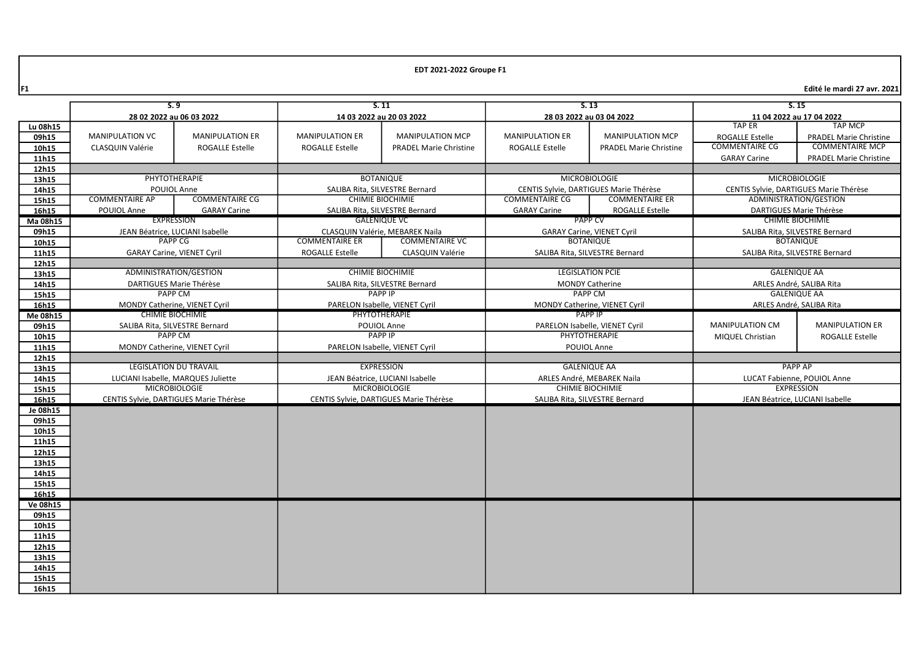F1 Edité le mardi 27 avr. 2021

|                 |                               | S.9                                    | 5.11                                   |                                |                                                 | S.13                                   |                                | S.15                                   |
|-----------------|-------------------------------|----------------------------------------|----------------------------------------|--------------------------------|-------------------------------------------------|----------------------------------------|--------------------------------|----------------------------------------|
|                 | 28 02 2022 au 06 03 2022      |                                        | 14 03 2022 au 20 03 2022               |                                | 28 03 2022 au 03 04 2022                        |                                        | 11 04 2022 au 17 04 2022       |                                        |
| Lu 08h15        |                               |                                        |                                        |                                |                                                 |                                        | <b>TAP ER</b>                  | <b>TAP MCP</b>                         |
| 09h15           | <b>MANIPULATION VC</b>        | <b>MANIPULATION ER</b>                 | <b>MANIPULATION ER</b>                 | <b>MANIPULATION MCP</b>        | <b>MANIPULATION ER</b>                          | <b>MANIPULATION MCP</b>                | <b>ROGALLE Estelle</b>         | <b>PRADEL Marie Christine</b>          |
| 10h15           | <b>CLASQUIN Valérie</b>       | <b>ROGALLE Estelle</b>                 | <b>ROGALLE Estelle</b>                 | <b>PRADEL Marie Christine</b>  | <b>ROGALLE Estelle</b>                          | <b>PRADEL Marie Christine</b>          | <b>COMMENTAIRE CG</b>          | <b>COMMENTAIRE MCP</b>                 |
| 11h15           |                               |                                        |                                        |                                |                                                 |                                        | <b>GARAY Carine</b>            | <b>PRADEL Marie Christine</b>          |
| 12h15           |                               |                                        |                                        |                                |                                                 |                                        |                                |                                        |
| 13h15           |                               | PHYTOTHERAPIE                          |                                        | <b>BOTANIQUE</b>               |                                                 | <b>MICROBIOLOGIE</b>                   |                                | <b>MICROBIOLOGIE</b>                   |
| 14h15           |                               | POUIOL Anne                            |                                        | SALIBA Rita, SILVESTRE Bernard |                                                 | CENTIS Sylvie, DARTIGUES Marie Thérèse |                                | CENTIS Sylvie, DARTIGUES Marie Thérèse |
| 15h15           | <b>COMMENTAIRE AP</b>         | <b>COMMENTAIRE CG</b>                  |                                        | <b>CHIMIE BIOCHIMIE</b>        | <b>COMMENTAIRE CG</b>                           | <b>COMMENTAIRE ER</b>                  |                                | ADMINISTRATION/GESTION                 |
| 16h15           | POUIOL Anne                   | <b>GARAY Carine</b>                    |                                        | SALIBA Rita, SILVESTRE Bernard | <b>GARAY Carine</b>                             | <b>ROGALLE Estelle</b>                 |                                | DARTIGUES Marie Thérèse                |
| Ma 08h15        |                               | EXPRESSION                             |                                        | <b>GALENIQUE VC</b>            |                                                 | <b>PAPP CV</b>                         |                                | <b>CHIMIE BIOCHIMIE</b>                |
| 09h15           |                               | JEAN Béatrice, LUCIANI Isabelle        | CLASQUIN Valérie, MEBAREK Naila        |                                | <b>GARAY Carine, VIENET Cyril</b>               |                                        | SALIBA Rita, SILVESTRE Bernard |                                        |
| 10h15           |                               | PAPP <sub>CG</sub>                     | <b>COMMENTAIRE ER</b>                  | <b>COMMENTAIRE VC</b>          | <b>BOTANIOUE</b>                                |                                        | <b>BOTANIOUE</b>               |                                        |
| 11h15           |                               | <b>GARAY Carine, VIENET Cyril</b>      | <b>ROGALLE Estelle</b>                 | CLASQUIN Valérie               | SALIBA Rita, SILVESTRE Bernard                  |                                        |                                | SALIBA Rita, SILVESTRE Bernard         |
| 12h15           |                               |                                        |                                        |                                |                                                 |                                        |                                |                                        |
| 13h15           |                               | ADMINISTRATION/GESTION                 | <b>CHIMIE BIOCHIMIE</b>                |                                | <b>LEGISLATION PCIE</b>                         |                                        | <b>GALENIQUE AA</b>            |                                        |
| 14h15           |                               | DARTIGUES Marie Thérèse                | SALIBA Rita, SILVESTRE Bernard         |                                | <b>MONDY Catherine</b>                          |                                        | ARLES André, SALIBA Rita       |                                        |
| 15h15           |                               | <b>PAPP CM</b>                         | <b>PAPP IP</b>                         |                                | <b>PAPP CM</b>                                  |                                        | <b>GALENIQUE AA</b>            |                                        |
| 16h15           | MONDY Catherine, VIENET Cyril |                                        | PARELON Isabelle, VIENET Cyril         |                                | MONDY Catherine, VIENET Cyril<br><b>PAPP IP</b> |                                        | ARLES André, SALIBA Rita       |                                        |
| Me 08h15        |                               | <b>CHIMIE BIOCHIMIE</b>                |                                        | PHYTOTHERAPIE                  |                                                 |                                        |                                |                                        |
| 09h15           |                               | SALIBA Rita, SILVESTRE Bernard         | POUIOL Anne                            |                                | PARELON Isabelle, VIENET Cyril<br>PHYTOTHERAPIE |                                        | MANIPULATION CM                | <b>MANIPULATION ER</b>                 |
| 10h15           |                               | PAPP CM                                | <b>PAPP IP</b>                         |                                |                                                 |                                        | MIQUEL Christian               | <b>ROGALLE Estelle</b>                 |
| 11h15           |                               | MONDY Catherine, VIENET Cyril          | PARELON Isabelle, VIENET Cyril         |                                |                                                 | POUIOL Anne                            |                                |                                        |
| 12h15           |                               | <b>LEGISLATION DU TRAVAIL</b>          |                                        | <b>EXPRESSION</b>              |                                                 | <b>GALENIQUE AA</b>                    |                                | <b>PAPP AP</b>                         |
| 13h15<br>14h15  |                               | LUCIANI Isabelle, MARQUES Juliette     | JEAN Béatrice, LUCIANI Isabelle        |                                |                                                 | ARLES André, MEBAREK Naila             |                                | LUCAT Fabienne, POUIOL Anne            |
| 15h15           |                               | <b>MICROBIOLOGIE</b>                   | <b>MICROBIOLOGIE</b>                   |                                |                                                 | <b>CHIMIE BIOCHIMIE</b>                |                                | <b>EXPRESSION</b>                      |
| 16h15           |                               | CENTIS Sylvie, DARTIGUES Marie Thérèse | CENTIS Sylvie, DARTIGUES Marie Thérèse |                                | SALIBA Rita, SILVESTRE Bernard                  |                                        |                                | JEAN Béatrice, LUCIANI Isabelle        |
| Je 08h15        |                               |                                        |                                        |                                |                                                 |                                        |                                |                                        |
| 09h15           |                               |                                        |                                        |                                |                                                 |                                        |                                |                                        |
| 10h15           |                               |                                        |                                        |                                |                                                 |                                        |                                |                                        |
| 11h15           |                               |                                        |                                        |                                |                                                 |                                        |                                |                                        |
| 12h15           |                               |                                        |                                        |                                |                                                 |                                        |                                |                                        |
| 13h15           |                               |                                        |                                        |                                |                                                 |                                        |                                |                                        |
| 14h15           |                               |                                        |                                        |                                |                                                 |                                        |                                |                                        |
| 15h15           |                               |                                        |                                        |                                |                                                 |                                        |                                |                                        |
| 16h15           |                               |                                        |                                        |                                |                                                 |                                        |                                |                                        |
| <b>Ve 08h15</b> |                               |                                        |                                        |                                |                                                 |                                        |                                |                                        |
| 09h15           |                               |                                        |                                        |                                |                                                 |                                        |                                |                                        |
| 10h15           |                               |                                        |                                        |                                |                                                 |                                        |                                |                                        |
| 11h15           |                               |                                        |                                        |                                |                                                 |                                        |                                |                                        |
| 12h15           |                               |                                        |                                        |                                |                                                 |                                        |                                |                                        |
| 13h15           |                               |                                        |                                        |                                |                                                 |                                        |                                |                                        |
| 14h15           |                               |                                        |                                        |                                |                                                 |                                        |                                |                                        |
| 15h15           |                               |                                        |                                        |                                |                                                 |                                        |                                |                                        |
| 16h15           |                               |                                        |                                        |                                |                                                 |                                        |                                |                                        |